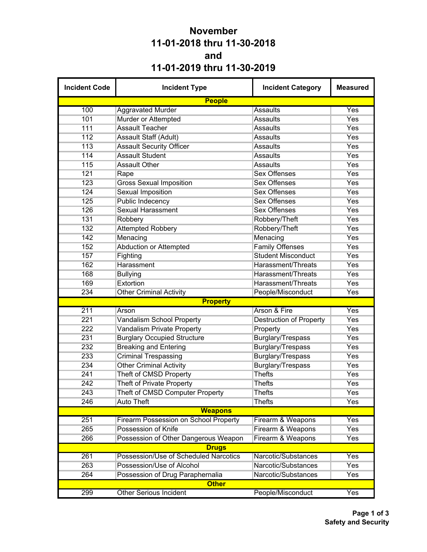## **November 11-01-2018 thru 11-30-2018 and 11-01-2019 thru 11-30-2019**

| <b>Incident Code</b> | <b>Incident Type</b>                         | <b>Incident Category</b>       | <b>Measured</b> |
|----------------------|----------------------------------------------|--------------------------------|-----------------|
|                      | <b>People</b>                                |                                |                 |
| 100                  | <b>Aggravated Murder</b>                     | <b>Assaults</b>                | Yes             |
| 101                  | Murder or Attempted                          | <b>Assaults</b>                | Yes             |
| 111                  | <b>Assault Teacher</b>                       | <b>Assaults</b>                | Yes             |
| 112                  | Assault Staff (Adult)                        | <b>Assaults</b>                | Yes             |
| 113                  | <b>Assault Security Officer</b>              | <b>Assaults</b>                | Yes             |
| 114                  | <b>Assault Student</b>                       | <b>Assaults</b>                | Yes             |
| 115                  | <b>Assault Other</b>                         | <b>Assaults</b>                | Yes             |
| 121                  | Rape                                         | <b>Sex Offenses</b>            | Yes             |
| 123                  | <b>Gross Sexual Imposition</b>               | <b>Sex Offenses</b>            | Yes             |
| 124                  | <b>Sexual Imposition</b>                     | <b>Sex Offenses</b>            | Yes             |
| 125                  | Public Indecency                             | <b>Sex Offenses</b>            | Yes             |
| 126                  | <b>Sexual Harassment</b>                     | <b>Sex Offenses</b>            | Yes             |
| 131                  | Robbery                                      | Robbery/Theft                  | Yes             |
| 132                  | <b>Attempted Robbery</b>                     | Robbery/Theft                  | Yes             |
| 142                  | Menacing                                     | Menacing                       | Yes             |
| 152                  | <b>Abduction or Attempted</b>                | <b>Family Offenses</b>         | Yes             |
| 157                  | Fighting                                     | <b>Student Misconduct</b>      | Yes             |
| 162                  | Harassment                                   | Harassment/Threats             | Yes             |
| 168                  | <b>Bullying</b>                              | <b>Harassment/Threats</b>      | Yes             |
| 169                  | Extortion                                    | Harassment/Threats             | Yes             |
| 234                  | <b>Other Criminal Activity</b>               | People/Misconduct              | Yes             |
|                      | <b>Property</b>                              |                                |                 |
| 211                  | Arson                                        | Arson & Fire                   | Yes             |
| 221                  | <b>Vandalism School Property</b>             | <b>Destruction of Property</b> | Yes             |
| 222                  | <b>Vandalism Private Property</b>            | Property                       | Yes             |
| 231                  | <b>Burglary Occupied Structure</b>           | Burglary/Trespass              | Yes             |
| 232                  | <b>Breaking and Entering</b>                 | Burglary/Trespass              | Yes             |
| 233                  | <b>Criminal Trespassing</b>                  | <b>Burglary/Trespass</b>       | Yes             |
| 234                  | <b>Other Criminal Activity</b>               | Burglary/Trespass              | Yes             |
| 241                  | Theft of CMSD Property                       | <b>Thefts</b>                  | Yes             |
| 242                  | <b>Theft of Private Property</b>             | <b>Thefts</b>                  | Yes             |
| 243                  | Theft of CMSD Computer Property              | Thefts                         | Yes             |
| 246                  | <b>Auto Theft</b>                            | <b>Thefts</b>                  | Yes             |
|                      | <b>Weapons</b>                               |                                |                 |
| 251                  | <b>Firearm Possession on School Property</b> | Firearm & Weapons              | Yes             |
| 265                  | Possession of Knife                          | Firearm & Weapons              | Yes             |
| 266                  | Possession of Other Dangerous Weapon         | Firearm & Weapons              | Yes             |
|                      | <b>Drugs</b>                                 |                                |                 |
| 261                  | Possession/Use of Scheduled Narcotics        | Narcotic/Substances            | Yes             |
| 263                  | Possession/Use of Alcohol                    | Narcotic/Substances            | Yes             |
| 264                  | Possession of Drug Paraphernalia             | Narcotic/Substances            | Yes             |
|                      | <b>Other</b>                                 |                                |                 |
| 299                  | <b>Other Serious Incident</b>                | People/Misconduct              | Yes             |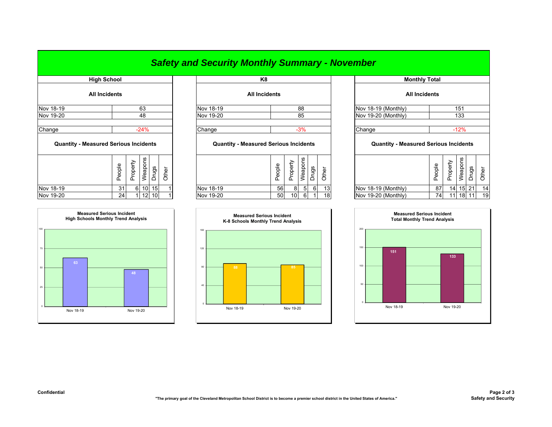## *Safety and Security Monthly Summary - November*

| <b>High School</b>                           |        |          |                 |       |       | K8                                           |        |          |                |          |       |                |
|----------------------------------------------|--------|----------|-----------------|-------|-------|----------------------------------------------|--------|----------|----------------|----------|-------|----------------|
| <b>All Incidents</b>                         |        |          |                 |       |       | <b>All Incidents</b>                         |        |          |                |          |       |                |
| Nov 18-19                                    |        |          | 63              |       |       | Nov 18-19                                    |        |          | 88             |          |       | <b>Nov 18-</b> |
| Nov 19-20                                    |        |          | 48              |       |       | Nov 19-20                                    |        |          | 85             |          |       | Nov 19-        |
| Change                                       |        |          | $-24%$          |       |       | Change                                       |        |          | $-3%$          |          |       | Change         |
| <b>Quantity - Measured Serious Incidents</b> |        |          |                 |       |       | <b>Quantity - Measured Serious Incidents</b> |        |          |                |          |       | C              |
|                                              | People | Property | Weapons         | Drugs | Other |                                              | People | Property | Weapons        | Drugs    | Other |                |
| Nov 18-19                                    | 31     | 6        | 10 <sup>1</sup> | 15    |       | Nov 18-19                                    | 56     | 8        | 5 <sub>l</sub> | $6 \mid$ | 13    | <b>Nov 18-</b> |
|                                              |        |          |                 |       |       |                                              |        |          |                |          |       |                |



|           | <b>THAN ACTION</b>   |           | .                    |                     |
|-----------|----------------------|-----------|----------------------|---------------------|
|           | <b>All Incidents</b> |           | <b>All Incidents</b> |                     |
| Nov 18-19 | 63                   | Nov 18-19 | 88                   | Nov 18-19 (Monthly) |
| Nov 19-20 | 48                   | Nov 19-20 | 85                   | Nov 19-20 (Monthly) |
|           |                      |           |                      |                     |
| Change    | 24%                  | Change    |                      | Change              |

## **Quantity - Measured Serious Incidents Quantity - Measured Serious Incidents Quantity - Measured Serious Incidents**

| <b>SC</b><br>ω<br>ဥ္ပ<br>흐<br>∸<br>ರಾ<br>Ф<br>௨<br>Φ<br>Œ.<br>௨<br>ㅛ<br>⋍ | മ<br>യ<br><b>__</b> | ∸<br>ட | ဖာ<br>-<br>हैं<br>۵١ | წ | ∸<br>Φ          |                     | ople<br>Ō<br>௨ | ω<br>∸<br>ட | <b>SC</b>       | წ  |    |
|---------------------------------------------------------------------------|---------------------|--------|----------------------|---|-----------------|---------------------|----------------|-------------|-----------------|----|----|
| Nov 18-19<br>10 <sup>1</sup><br>15I<br>31<br>61                           | Nov 18-19<br>56     | 81     | -51                  |   | 13 <sup>1</sup> | Nov 18-19 (Monthly) | 87             | 14          | 15 <sub>1</sub> | 21 | 14 |
| Nov 19-20<br>$12$ 10<br>24                                                | Nov 19-20<br>50     | 10     | 6                    |   | 18              | Nov 19-20 (Monthly) | 74             | -11         | 18              | 11 | 19 |



| <b>High School</b>       |        |          |           |                 |       |  | K <sub>8</sub>                               |                      |        |                     |                |       |       | <b>Monthly Total</b>                         |        |                 |            |       |       |
|--------------------------|--------|----------|-----------|-----------------|-------|--|----------------------------------------------|----------------------|--------|---------------------|----------------|-------|-------|----------------------------------------------|--------|-----------------|------------|-------|-------|
| All Incidents            |        |          |           |                 |       |  |                                              | <b>All Incidents</b> |        |                     |                |       |       | <b>All Incidents</b>                         |        |                 |            |       |       |
|                          |        |          | 63        |                 |       |  | Nov 18-19                                    |                      |        |                     | 88             |       |       | Nov 18-19 (Monthly)                          |        |                 | 151        |       |       |
| 48                       |        |          | Nov 19-20 |                 |       |  | 85                                           |                      |        | Nov 19-20 (Monthly) |                | 133   |       |                                              |        |                 |            |       |       |
|                          |        |          |           |                 |       |  |                                              |                      |        |                     |                |       |       |                                              |        |                 |            |       |       |
|                          |        |          | $-24%$    |                 |       |  | Change                                       |                      |        |                     | $-3%$          |       |       | Change                                       |        |                 | $-12%$     |       |       |
| asured Serious Incidents |        |          |           |                 |       |  | <b>Quantity - Measured Serious Incidents</b> |                      |        |                     |                |       |       | <b>Quantity - Measured Serious Incidents</b> |        |                 |            |       |       |
|                          | People | Property | Weapons   | Drugs           | Other |  |                                              |                      | People | Property            | Weapons        | Drugs | Other |                                              | People | Property        | Weapons    | Drugs | Other |
|                          | 31     | 6        |           | 10 15           |       |  | Nov 18-19                                    |                      | 56     | 8                   | 5 <sup>1</sup> | 6     | 13    | Nov 18-19 (Monthly)                          | 87     |                 | $14$ 15 21 |       | 14    |
|                          | 24     |          | 12        | 10 <sup>1</sup> |       |  | Nov 19-20                                    |                      | 50     | 10                  | 6              |       | 18    | Nov 19-20 (Monthly)                          | 74     | 11 <sup>1</sup> | 18 11      |       | 19    |